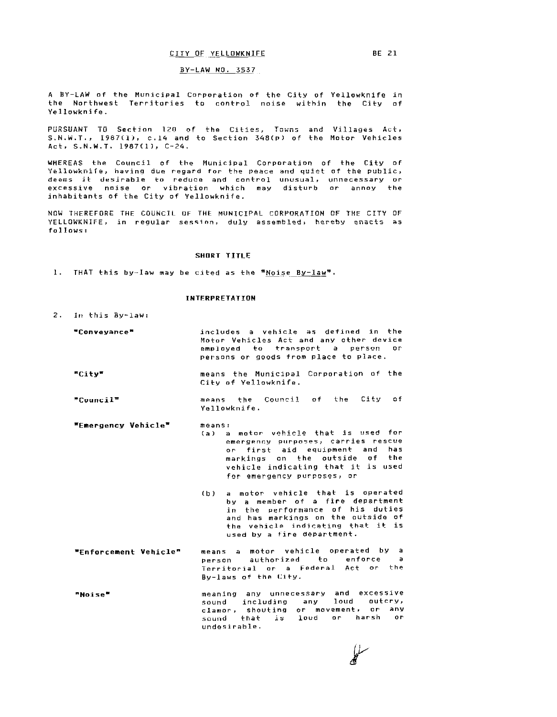# CITY OF YELLOWKNIFE BE 21

### BY-LAW NO. 3537

A BY-LAW of the Municipal Corporation of the City of Yellowknife in the Northwest Territories to control noise within the City of Yellowknife.

PURSUANT TO Section 120 of the Cities, Towns and Villages s.N.W.T., 1987(1), c.14 and to Section 348(p) of the Motor Vehicles Act, S.N.W.T. 1987(1), C-24.

WHEREAS the Council of the Municipal Corporation of the City of where the counter of the nameleper corporation of the recycle. deems il: desirable to reduce and control excessive noise or vibration which may inhabitants of the City of Yellowknife. unusual, disturb unnecessary or annoy or the

NOW THEREFORE THE COUNCIL OF THE MUNICIPAL CORPORATION OF THE CITY OF YELLOWKNIFE, in regular session, duly assembled, hereby enacts as follows:

# SHORT TITLE

1. THAT this by-law may be cited as the "Noise By-law".

## INTERPRETATION

- 2. In this By-law:
	- "Conveyance• "City" "Council" •Emergency Vehicle" includes a vehicle as defined in the Motor Vehicles Act and any other device employed to transport a person or persons or goods from place to place. means the Municipal Corporation of the City of Yellowknife. means the Council of the City of Yellowknife. means: Ca) a motor- vehicle that is used for emergency purposes, carries rescue or first aid equipment and has markings on the outside of the vehicle indicating that it is used
		- (b) a motor vehicle that <mark>is o</mark>perated by a member of a fire department in the performance of his duties and has markings on the outside of the vehicle indicating that it is used by a tire department.

for emergency purposes; or

- •Enforcement Vehiclen means a motor vehicle operated by a person authorized to enforce a Territorial or a Federai Act or- the By-laws of the City.
- meaning any unnecessary and excessive "Noise" sound including any loud outcry, clamor, shouting or movement, or any clamor, shouling or movementy of the undesirable.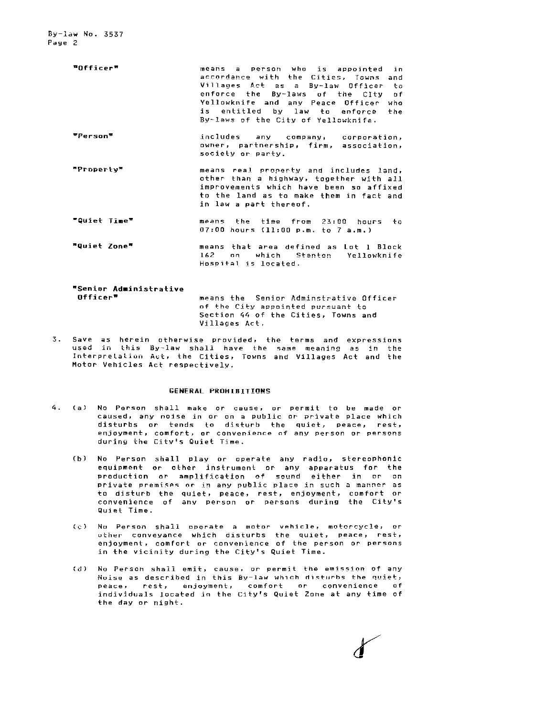- •officer• ""Person= means a person who is appointed in accordance with the Cities, Towns and Villages Act as a By-law Officer to enforce the By-laws of the City of Yellowknife and any Peace Officer who is entitled by law to enforce the By-laws of the City cf Yellowknife. includes any company, corporation, owner, partnership, firm, association, society or party.
- "Property" means real property and includes land, other than a highway, together with all improvements which have been so affixed to the land as to make them *in* fact and in law a part thereof.
- "Quiet Time" means the time from 23:00 hours to 07:00 hours (11:00 p.m. to 7 a.m.)
- •quiet Zone"' means that area defined as Lot Block 162 nn which Stanton Yellowknife Hospital is located.

"'Senior Ad•inistrative Officer"' means the Senior Adminstrative Officer of the City appointed pursuant to Section 44 of the Cities, Towns and Villages Act.

3. Save as herein otherwise provided, the terms and expressions used in this By-law shall have the same meaning as in the Interprelation Act, the Cities, Towns and Villages Act and the Motor Vehicles Act respectively.

## GENERAL PROHIBITIONS

- 4. (a) No Person shall make or cause, or permit to be made or caused, any noise in or on a public or private place which disturbs or tends to disturb the quiet, peace, rest, enjoyment, comfort, or convenience of any person or persons during the Citv:s Quiet Time.
	- (b) No Person shall play or operate any radio, stereophonic equipment or other instrument or any apparatus for the production or amplification of sound either in or on private premises or in any public place in such a manner as to disturb the quiet, peace, rest, enjoyment, comfort or convenience of anv person or persons during the City's Quiet Time.
	- (c) Nu Person shall operate a motor vehicle, motorcycle, or uther· conveyance which disturbs the quiet, peace, rest, enjoyment, comfort or convenience of the person or persons in the vicinity during the City's Quiet Time.
	- (d) No Person shall emit, cause, or permit the emission of any Noise as described in this By-law which disturbs the quiet, peace. rest, enjoyment, comfort or convenience of individuals located in the City's Quiet Zone at any time of the day or night.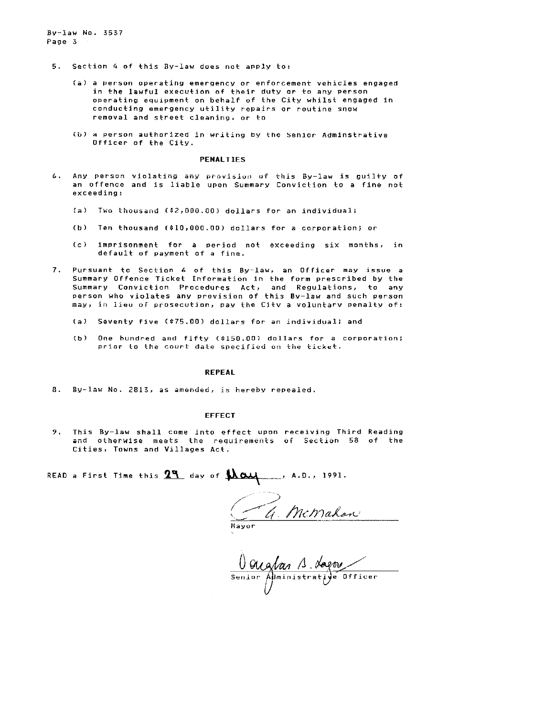By-law No. 3537 Page 3

- 5. Section 4 of this By-law does not apply to:
	- (a) a Person operating emergency or enforcement vehicles engaged in the lawful execution of their duty or to any person operating equipment on behalf of the City whilst engaged in conducting emergency utility repairs or routine snow removal and street cleaning. or to
	- (b) a person authorized in writing by the senior Adminstrative Officer of the City.

## **PENALTIES**

- 6. Any person violating any provision of this By-law is guilty of an offence and is liable upon Summary Conviction to a fine not exceeding:
	- (a) Two thousand (\$2,000.00) dollars for an individual;
	- (b) Ten thousand (\$10,000.00) dollars for a corporation; or
	- (c) imprisonment for a period not exceeding six months, in default of payment of a fine.
- 7. Pursuant to Section 6 of this By-law, an Officer may issue a Summary Offence Ticket Information in the form prescribed by the Summary Conviction Procedures Act, and Regulations, to any person who violates any provision of this By-law and such Person may, in lieu of prosecution, pay the Citv a voluntarv penalty of:
	- (a) Seventy five (\$75.00) dollars for an individual; and
	- (b) One hundred and fifty (\$150.00) dollars for a corporation; prior to the court date specified on the ticket.

#### REPEAL

8. By-law No. 2813, as amended, is hereby repealed.

#### EFFECT

9. This By-law shall come into effect upon receiving Third Reading and otherwise meets the requirements of Section 58 of the Cities, Towns and Villages Act.

READ a First Time this  $2^q$  day of  $\lambda\alpha$ •

<u>G. McMahon</u>

Mayor

Qualas 1 dagou